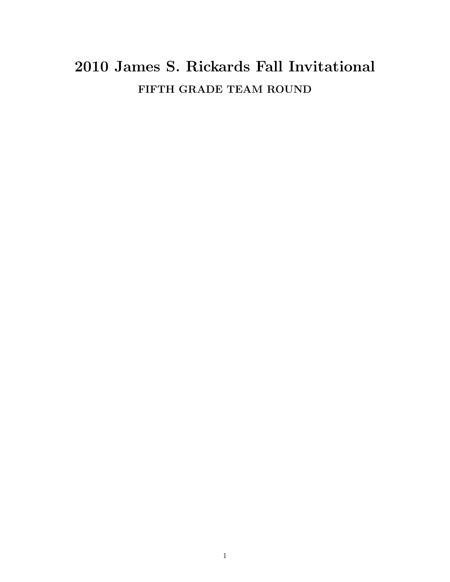## 2010 James S. Rickards Fall Invitational FIFTH GRADE TEAM ROUND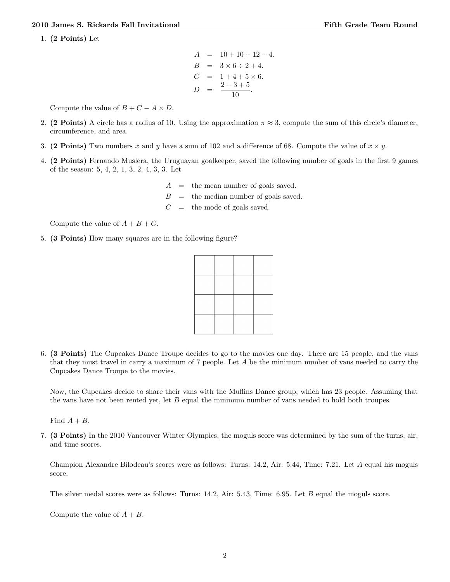1. (2 Points) Let

$$
A = 10 + 10 + 12 - 4.
$$
  
\n
$$
B = 3 \times 6 \div 2 + 4.
$$
  
\n
$$
C = 1 + 4 + 5 \times 6.
$$
  
\n
$$
D = \frac{2 + 3 + 5}{10}.
$$

Compute the value of  $B + C - A \times D$ .

- 2. (2 Points) A circle has a radius of 10. Using the approximation  $\pi \approx 3$ , compute the sum of this circle's diameter, circumference, and area.
- 3. (2 Points) Two numbers x and y have a sum of 102 and a difference of 68. Compute the value of  $x \times y$ .
- 4. (2 Points) Fernando Muslera, the Uruguayan goalkeeper, saved the following number of goals in the first 9 games of the season: 5, 4, 2, 1, 3, 2, 4, 3, 3. Let
	- $A =$  the mean number of goals saved.  $B =$  the median number of goals saved.  $C =$  the mode of goals saved.

Compute the value of  $A + B + C$ .

5. (3 Points) How many squares are in the following figure?

6. (3 Points) The Cupcakes Dance Troupe decides to go to the movies one day. There are 15 people, and the vans that they must travel in carry a maximum of 7 people. Let A be the minimum number of vans needed to carry the Cupcakes Dance Troupe to the movies.

Now, the Cupcakes decide to share their vans with the Muffins Dance group, which has 23 people. Assuming that the vans have not been rented yet, let B equal the minimum number of vans needed to hold both troupes.

Find  $A + B$ .

7. (3 Points) In the 2010 Vancouver Winter Olympics, the moguls score was determined by the sum of the turns, air, and time scores.

Champion Alexandre Bilodeau's scores were as follows: Turns: 14.2, Air: 5.44, Time: 7.21. Let A equal his moguls score.

The silver medal scores were as follows: Turns: 14.2, Air: 5.43, Time: 6.95. Let B equal the moguls score.

Compute the value of  $A + B$ .